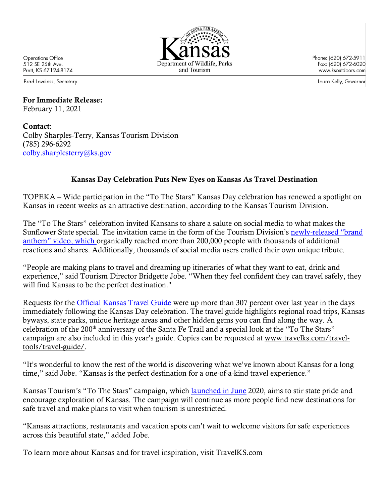

Phone: (620) 672-5911 Fax: (620) 672-6020 www.ksoutdoors.com

Laura Kelly, Governor

Operations Office 512 SE 25th Ave. Pratt, KS 67124-8174

Brad Loveless, Secretary

## For Immediate Release: February 11, 2021

Contact: Colby Sharples-Terry, Kansas Tourism Division (785) 296-6292 colby.sharplesterry@ks.gov

## Kansas Day Celebration Puts New Eyes on Kansas As Travel Destination

TOPEKA – Wide participation in the "To The Stars" Kansas Day celebration has renewed a spotlight on Kansas in recent weeks as an attractive destination, according to the Kansas Tourism Division.

The "To The Stars" celebration invited Kansans to share a salute on social media to what makes the Sunflower State special. The invitation came in the form of the Tourism Division's newly-released "brand anthem" video, which organically reached more than 200,000 people with thousands of additional reactions and shares. Additionally, thousands of social media users crafted their own unique tribute.

"People are making plans to travel and dreaming up itineraries of what they want to eat, drink and experience," said Tourism Director Bridgette Jobe. "When they feel confident they can travel safely, they will find Kansas to be the perfect destination."

Requests for the Official Kansas Travel Guide were up more than 307 percent over last year in the days immediately following the Kansas Day celebration. The travel guide highlights regional road trips, Kansas byways, state parks, unique heritage areas and other hidden gems you can find along the way. A celebration of the 200<sup>th</sup> anniversary of the Santa Fe Trail and a special look at the "To The Stars" campaign are also included in this year's guide. Copies can be requested at www.travelks.com/traveltools/travel-guide/.

"It's wonderful to know the rest of the world is discovering what we've known about Kansas for a long time," said Jobe. "Kansas is the perfect destination for a one-of-a-kind travel experience."

Kansas Tourism's "To The Stars" campaign, which <u>launched in June</u> 2020, aims to stir state pride and encourage exploration of Kansas. The campaign will continue as more people find new destinations for safe travel and make plans to visit when tourism is unrestricted.

"Kansas attractions, restaurants and vacation spots can't wait to welcome visitors for safe experiences across this beautiful state," added Jobe.

To learn more about Kansas and for travel inspiration, visit TravelKS.com